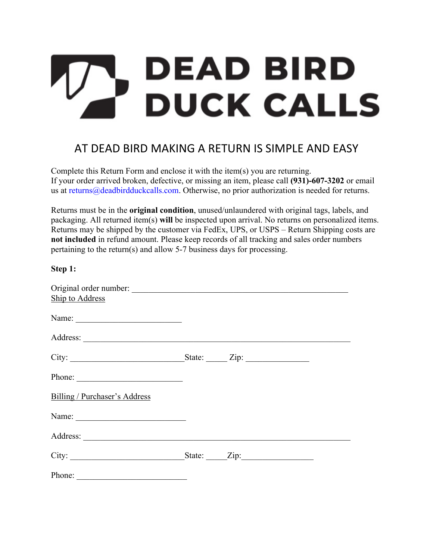# **DEAD BIRD DUCK CALLS**

## AT DEAD BIRD MAKING A RETURN IS SIMPLE AND EASY

Complete this Return Form and enclose it with the item(s) you are returning. If your order arrived broken, defective, or missing an item, please call **(931)-607-3202** or email us at returns@deadbirdduckcalls.com. Otherwise, no prior authorization is needed for returns.

Returns must be in the **original condition**, unused/unlaundered with original tags, labels, and packaging. All returned item(s) **will** be inspected upon arrival. No returns on personalized items. Returns may be shipped by the customer via FedEx, UPS, or USPS – Return Shipping costs are **not included** in refund amount. Please keep records of all tracking and sales order numbers pertaining to the return(s) and allow 5-7 business days for processing.

**Step 1:** 

| $\sim$ $\sim$ $\sim$ $\sim$                              |                    |  |
|----------------------------------------------------------|--------------------|--|
|                                                          |                    |  |
| Ship to Address                                          |                    |  |
| Name: $\frac{1}{\sqrt{1-\frac{1}{2}} \cdot \frac{1}{2}}$ |                    |  |
|                                                          |                    |  |
|                                                          | State: <u>Zip:</u> |  |
| Phone:                                                   |                    |  |
| Billing / Purchaser's Address                            |                    |  |
|                                                          |                    |  |
|                                                          |                    |  |
|                                                          |                    |  |
| Phone:                                                   |                    |  |